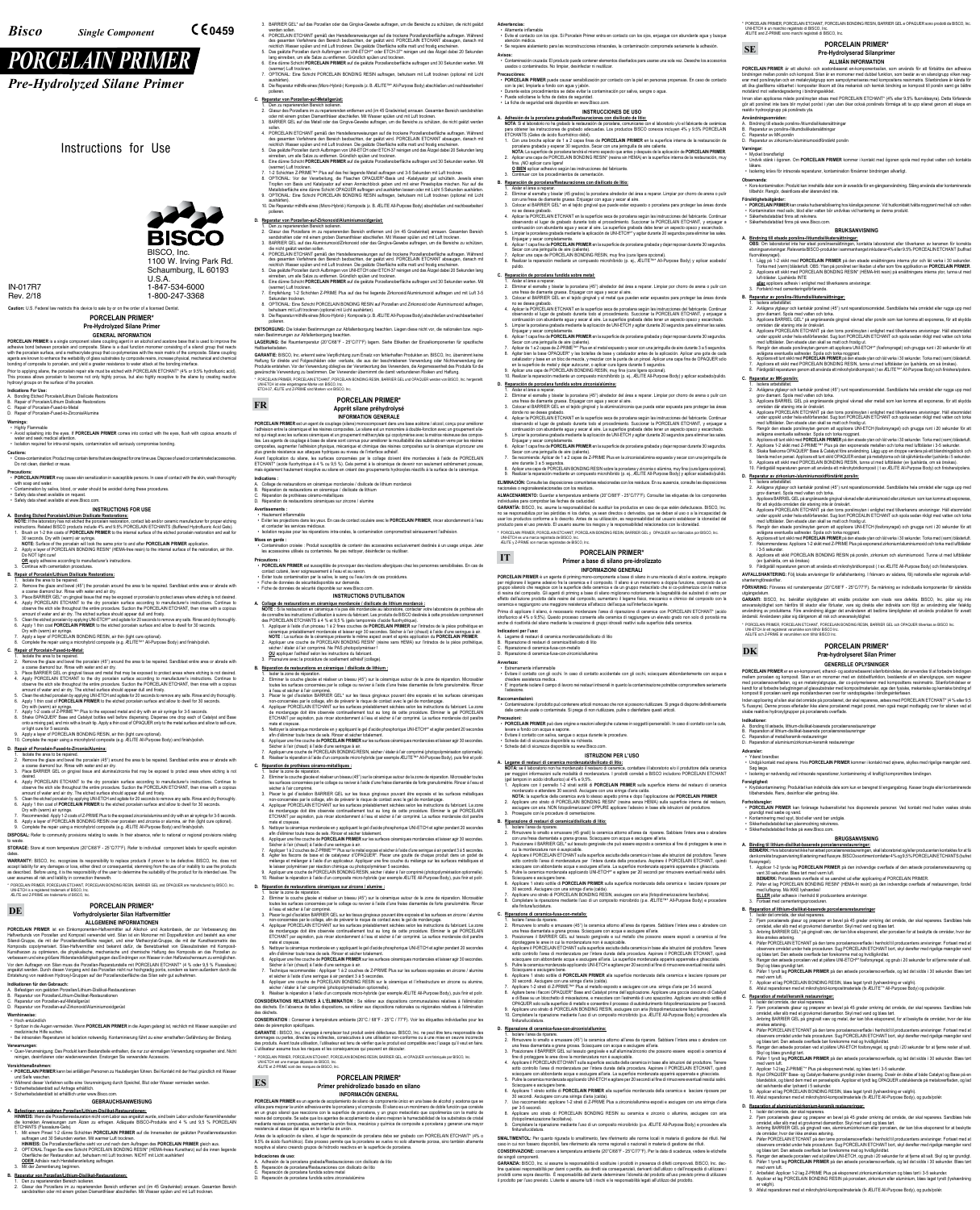## **PORCELAIN PRIMER\* Pre-Hydrolyzed Silane Primer**

## **GENERAL INFORMATION**

**PORCELAIN PRIMER** is a single component silane coupling agent in an alcohol and acetone base that is used to improve the adhesive bond between porcelain and composite. Silane is a dual function monomer consisting of a silanol group that reacts<br>with the porcelain surface, and a methacrylate group that co-polymerizes with the resin matrix of t bonding of composite to porcelain, and yield a greater resistance to water attack at the bonding interface.

Prior to applying silane, the porcelain repair site must be etched with PORCELAIN ETCHANT\* (4% or 9.5% hydrofluoric acid).<br>This process allows porcelain to become not only highly porous, but also highly receptive to the si

**Precautions:** • **PORCELAIN PRIMER** may cause skin sensitization in susceptible persons. In case of contact with the skin, wash thoroughly with soap and water

## **Indications For Use:**

- A. Bonding Etched Porcelain/Lithium Disilicate Restorations B. Repair of Porcelain/Lithium Disilicate Restorations
- Repair of Porcelain-Fused-to-Metal
- D. Repair of Porcelain-Fused-to-Zirconia/Alumina

#### **Warnings:** • Highly Flammable

• Avoid splashing into the eyes. If **PORCELAIN PRIMER** comes into contact with the eyes, flush with copious amounts of

 water and seek medical attention. • Isolation required for intra-oral repairs, contamination will seriously compromise bonding. **Cautions:**

• Cross-contamination: Product may contain items that are designed for one time use. Dispose of used or contaminated accessories. Do not clean, disinfect or reuse.

• Contamination by saliva, blood, or water should be avoided during these procedures. • Safety data sheet available on request.

• Safety data sheet available at www.Bisco.com.

## **INSTRUCTIONS FOR USE**

**A. Bonding Etched Porcelain/Lithium Disilicate Restorations: NOTE:** If the laboratory has not etched the porcelain restoration, contact lab and/or ceramic manufacturer for proper etching instructions. Related BISCO products include 4% and 9.5% PORCELAIN ETCHANTS (Buffered Hydrofluoric Acid Gels). 1. Brush on 1-2 thin coats of **PORCELAIN PRIMER** to the internal surface of the etched porcelain restoration and wait for

30 seconds. Dry with (warm) air syringe. **NOTE:** Surface of the porcelain will look the same prior to and after **PORCELAIN PRIMER** application.

2. Apply a layer of PORCELAIN BONDING RESIN\* (HEMA-free resin) to the internal surface of the restoration, air thin. Do NOT light cure!

**OR** apply adhesive according to manufacturer's instructions. ive with cementation procedure

- 1. Isolate the area to be repaired. 2. Remove the glaze and bevel the porcelain (45°) around the area to be repaired. Sandblast entire area or abrade with and bur. Rinse with water and air dry.
- 3. Place BARRIER GEL on gingival tissue and alumina/zirconia that may be exposed to protect areas where etching is not
- desired. 4. Apply PORCELAIN ETCHANT to the dry porcelain surface according to manufacturer's instructions. Continue to observe the etch site throughout the entire procedure. Suction the PORCELAIN ETCHANT, then rinse with a copious amount of water and air dry. The etched surface should appear dull and frosty.
- 5. Clean the etched porcelain by applying UNI-ETCH and agitate for 20 seconds to remove any salts. Rinse and dry thoroughly 6. Apply 1 thin coat of **PORCELAIN PRIMER** to the etched porcelain surface and allow to dwell for 30 seconds.
- 
- Dry with (warm) air syringe. 7. Recommended: Apply 1-2 coats of Z-PRIME Plus to the exposed zirconia/alumina and dry with an air syringe for 3-5 seconds.
- 8. Apply a layer of PORCELAIN BONDING RESIN over porcelain and zirconia or alumina, air thin (light cure optional).<br>9. Complete the repair using a microhybrid composite (e.g. ÆLITE All-Purpose Body) and finish/polish.

### **B. Repair of Porcelain/Lithium Disilicate Restorations:**

- 1. Isolate the area to be repaired. 2. Remove the glaze and bevel (45°) the porcelain around the area to be repaired. Sandblast entire area or abrade with
- a coarse diamond bur. Rinse with water and air dry.
- 3. Place BARRIER GEL\* on gingival tissue that may be exposed or porcelain to protect areas where etching is not desired.<br>4. Apply PORCELAIN ETCHANT to the dry porcelain surface according to manufacturer's instructions. C observe the etch site throughout the entire procedure. Suction the PORCELAIN ETCHANT, then rinse with a copious amount of water and air dry. The etched surface should appear dull and frosty.<br>5. Clean the etched porcelain by applying UNI-ETCH® and agitate for 20 seconds to remove any salts. Rinse and dry thoroughly.
- 6. Apply 1 thin coat **PORCELAIN PRIMER** to the etched porcelain surface and allow to dwell for 30 seconds.
- Dry with (warm) air syringe. 7. Apply a layer of PORCELAIN BONDING RESIN, air thin (light cure optional).
- 8. Complete the repair using a microhybrid composite (e.g. ÆLITE™\* All-Purpose Body) and finish/polish **C. Repair of Porcelain-Fused-to-Metal:**

## 1. Isolate the area to be repaired.

Vor dem Auftragen von Silan muss die Porzellan-Reparaturstelle mit PORCELAIN ETCHANT\* (4 % oder 9,5 % Flusssäure)<br>angeätzt werden. Durch diesen Vorgang wird das Porzellan nicht nur hochgradig porös, sondern es kann außerd Entstehung von reaktiven Hydroxyl-Gruppen auf der Porzellanoberfläche das Silan sehr gut aufnehmen.

- 2. Remove the glaze and bevel the porcelain (45°) around the area to be repaired. Sandblast entire area or abrade with
- a coarse diamond bur. Rinse with water and air dry.<br>3. Place BARRIER GEL on gingival tissue and metal that may be exposed to protect areas where etching is not desired.<br>4. Apply PORCELAIN ETCHANT to the dry porcelain surfa observe the etch site throughout the entire procedure. Suction the PORCELAIN ETCHANT, then rinse with a copious amount of water and air dry. The etched surface should appear dull and frosty.
- 5. Clean the etched porcelain by applying UNI-ETCH and agitate for 20 seconds to remove any salts. Rinse and dry thoroughly. 6. Apply 1 thin coat of **PORCELAIN PRIMER** to the etched porcelain surface and allow to dwell for 30 seconds.
- Dry with (warm) air syringe. 7. Apply 1-2 coats of Z-PRIME™\* Plus to the exposed metal and dry with an air syringe for 3-5 seconds.
- 8. Shake OPAQUER\* Base and Catalyst bottles well before dispensing. Dispense one drop each of Catalyst and Base<br>onto a mixing pad, and mix with a brush tip. Apply a thin coat of OPAQUER only to the metal surface and allow or light cure for 5 seconds. 9. Apply a layer of PORCELAIN BONDING RESIN, air thin (light cure optional). 10. Complete the repair using a microhybrid composite (e.g. ÆLITE All-Purpose Body) and finish/polish.

**Vorsichtsmaßnahmen:** • **PORCELAIN PRIMER** kann bei anfälligen Personen zu Hautallergien führen. Bei Kontakt mit der Haut gründlich mit Wasser und Seife wascher

- ETCHANTS (Flusssäure-Gels). 1. Mit einem Pinsel 1-2 dünne Schichten **PORCELAIN PRIMER** auf die Innenseiten der geätzten Porzellanrestauration
- auftragen und 30 Sekunden warten. Mit warmer Luft trocknen.<br>HINWEIS: Die Porzellanoberfläche sieht vor und nach dem Auftragen des PORCELAIN PRIMER gleich aus.<br>2. OPTIONAL:Tragen Sie eine Schicht PORCELAIN BONDING RESIN\* (H
- **ODER** Adhäsiv nach Herstelleranleitung auftragen.
- Mit der Zementierung beginner.
- 
- **B. Reparatur von Porzellan/Lithium-Disilikat-Restaurationen:**
- 
- 1. Den zu reparierenden Bereich isolieren. 2. Glasur des Porzellans im zu reparierenden Bereich entfernen und (im 45 Gradwinkel) anrauen. Gesamten Bereich sandstrahlen oder mit einem groben Diamantfräser abschleifen. Mit Wasser spülen und mit Luft trockner

## **D. Repair of Porcelain-Fused-to-Zirconia/Alumina:**

**DISPOSAL:** Refer to community provisions relating to waste. In their absence, refer to national or regional provisions relating to waste.

**STORAGE:** Store at room temperature (20°C/68°F - 25°C/77°F). Refer to individual component labels for specific expiration dates.

#### **D. Reparatur von Porzellan-auf-Zirkonoxid/Aluminiumoxidgerüst:** Den zu reparierenden Bereich isolieren.

**WARRANTY:** BISCO, Inc. recognizes its responsibility to replace products if proven to be defective. BISCO, Inc. does not accept liability for any damages or loss, either direct or consequential, stemming from the use of or inability to use the products<br>as described. Before using, it is the responsibility of the user to determine the suitabi user assumes all risk and liability in connection therewith.

\* PORCELAIN PRIMER, PORCELAIN ETCHANT, PORCELAIN BONDING RESIN, BARRIER GEL and OPAQUER are manufactured by BISCO, Inc. UNI-ETCH is a registered trademark of BISCO, Inc. ÆLITE and Z-PRIME are trademarks of BISCO, Inc.

**PORCELAIN PRIMER\***

### **Vorhydrolysierter Silan Haftvermittler ALLGEMEINE INFORMATIONEN**

ngen zur Abfallentsorgung beachten **LAGERUNG:** Bei Raumtemperatur (20°C/68°F - 25°C/77°F) lagern. Siehe Etiketten der Einzelkomponenten für spezifische

Haltbarkeitsdaten. **GARANTIE:** BISCO, Inc. erkennt seine Verpflichtung zum Ersatz von fehlerhaften Produkten an. BISCO, Inc. übernimmt keine Haftung für direkte und Folgeschäden oder -verluste, die aus der beschriebenen Verwendung oder Nichtverwendung der Produkte entstehen. Vor der Verwendung obliegt es der Verantwortung des Verwenders, die Angemessenheit des Produkts für die<br>gewünschte Verwendung zu bestimmen. Der Verwender übernimmt die damit verbundenen Risiken und Haft

**PORCELAIN PRIMER** ist ein Einkomponenten-Haftvermittler auf Alkohol- und Acetonbasis, der zur Verbesserung des Haftverbunds von Porzellan und Komposit verwendet wird. Silan ist ein Monomer mit Doppelfunktion und besteht aus eine Silanol-Gruppe, die mit der Porzellanoberfläche reagiert, und einer Methacrylat-Gruppe, die mit der Kunstharzmatrix des Komposits copolymerisiert. Silan-Haftvermittler sind bekannt dafür, die Benetzbarkeit von Glassubstraten mit Komposit-Kunstharzen zu optimieren, die physikalische, mechanische und chemische Haftung des Komposits an das Porzellan zu verbessern und eine größere Widerstandsfähigkeit gegen das Eindringen von Wasser in den Haftzwischenraum zu ermöglichen.

Avant l'application du silane, les surfaces concernées par le collage doivent être mordancées à l'aide de PORCELAIN ETCHANT\* (acide fluorhydrique à 4 % ou 9,5 %). Cela permet à la céramique de devenir non seulement extrêmement poreuse<br>mais également hautement réceptive au silane en créant des groupements hydroxyles réactifs à la surface ent hautement réceptive au silane en créant des groupements hydroxyles réactifs à la surface de la céramique

- **Indikationen für den Gebrauch:** A. Befestigen von geätzten Porzellan/Lithium-Disilikat-Restaurationen
- B. Reparatur von Porzellan/Lithium-Disilikat-Restaurationen
- 
- C. Reparatur von Porzellan-auf-Metallgerüst D. Reparatur von Porzellan-auf-Zirkonoxid/Aluminiumoxidgerüst

#### **Warnhinweise:** • Hoch entzündlich

• Spritzer in die Augen vermeiden. Wenn **PORCELAIN PRIMER** in die Augen gelangt ist, reichlich mit Wasser ausspülen und

medizinische Hilfe suchen. • Bei intraoralen Reperaturen ist Isolation notwendig. Kontaminierung führt zu einer ernsthaften Gefährdung der Bindung.

**Verwarnungen:** • Quer-Verunreinigung: Das Produkt kann Bestandteile enthalten, die nur zur einmaligen Verwendung vorgesehen sind. Nicht reinigen, desinfizieren oder wiederverwenden. Enstorgen Sie verwendete Accessoirs.

• Während dieser Verfahren sollte eine Verunreinigung durch Speichel, Blut oder Wasser vermieden werden.

- Sicherheitsdatenblatt auf Anfrage erhältlich.
- Sicherheitsdatenblatt ist erhältlich unter www.Bisco.com.

## **GEBRAUCHSANWEISUNG**

A. <u>Befestigen von geatzten Porzellan/Lithium-Disilikat-Restaurationen:</u><br>HINWEIS: Wenn die Porzellanrestauration nicht vom Labor aus angeätzt wurde, sind beim Labor und/oder Keramikhersteller<br>ile korrekten Anweisungen zum

- NOTE : Si la restauration en céramique n´a pas été mordancée au laboratoire, contacter votre laboratoire de prothése afin<br>de connaître les instructions d'utilisation à suivre du fabricant. Les produits de BISCO destinés à des PORCELAIN ETCHANTS à 4 % et 9,5 % (gels tamponnés d'acide fluorhydrique).
- 1. Appliquer à l'aide d'un pinceau 1 à 2 fines couches de PORCELAIN PRIMER sur l'intrados de la pièce prothétique en<br>Céramique préalablement mordancée et laisser agir 30 secondes. Sécher à l'air (chaud) à l'aide d'une seri
- 2. Appliquer une couche de PORCELAIN BONDING RESIN\* (résine sans HEMA) sur l'intrados de la pièce prothétique, sécher / étaler à l'air comprimé. Ne PAS photopolymériser ! **OU** appliquer l'adhésif selon les instructions du fabricant.
- 3. Poursuivre avec la procédure de scellement adhésif (collage).

- mate et crayeuse. Nettoyer la céramique mordancée en y appliquant le gel d'acide phosphorique UNI-ETCH<sup>®\*</sup> et agiter pendant 20 secondes
- afin d'éliminer toute trace de sels. Rincer et sécher totalement. 6. Appliquer une fine couche de **PORCELAIN PRIMER** sur les surfaces céramiques mordancées et laisser agir 30 secondes.
- 
- Sécher à l'air (chaud) à l'aide d'une seringue à air.<br>7. Appliquer une couche de PORCELAIN BONDING RESIN, sécher / étaler à l'air comprimé (photopolymérisation optionnelle).<br>8. Réaliser la réparation à l'aide d'un com
- 3. BARRIER GEL\* auf das Porzellan oder das Gingiva-Gewebe auftragen, um die Bereiche zu schützen, die nicht geätzt
- werden sollen.<br>4. PORCELAIN ETCHANT gemäß den Herstelleranweisungen auf die trockene Porzellanoberfläche auftragen. Während<br>1. des gesamten Verfahrens den Bereich beobachten, der geätzt wird. PORCELAIN ETCHANT absaugen, da
- 5. Das geätzte Porzellan durch Aufbringen von UNI-ETCH™ oder ETCH-37\* reinigen und das Atzgel dabei 20 Sekunden<br>lang einreiben, um alle Salze zu entfernen. Gründlich spülen und trocknen.<br>6. Eine dünne Schicht **PORCELAIN P**
- (warmer) Luft trocknen. 7. OPTIONAL: Eine Schicht PORCELAIN BONDING RESIN auftragen, behutsam mit Luft trocknen (optional mit Licht
- aushärten). 8. Die Reparatur mithilfe eines (Micro-Hybrid-) Komposits (z. B. ÆLITE™\* All-Purpose Body) abschließen und nachbearbeiten/ polieren.

- Isoler la zone de réparation
- 2. Eliminer la couche glacée et réaliser un biseau (45°) sur la céramique autour de la zone de réparation. Microsabler toutes les surfaces concernées par le collage ou raviver à l'aide d'une fraise diamantée de forte granulométrie. Rincer à l'eau et
- secher à l'air comprime.<br>3. Placer le gel d'isolation BARRIER GEL sur les tissus gingivaux pouvant être exposés et les surfaces métalliques<br>1001-concernées par le collage, afin de prévenir le risque de contact avec le gel
- 4. Appliquer PORCELAIN ETCHANT sur les surfaces préalablement séchées selon les instructions du fabricant. La zone de mordançage doit être observée continuellement tout au long de cette procédure. Eliminer le gel PORCELAIN<br>ETCHANT par aspiration, puis rincer abondamment à l'eau et sécher à l'air comprimé. La surface mordancée doit para mate et crayeuse.
- 5. Nettoyer la céramique mordancée en y appliquant le gel d'acide phosphorique UNI-ETCH et agiter pendant 20 secondes afin d'éliminer toute trace de sels. Rincer et sécher totalement.
- 6. Appliquer une fine couche de **PORCELAIN PRIMER** sur les surfaces céramiques mordancées et laisser agir 30 secondes. Sécher à l'air (chaud) à l'aide d'une seringue à air.<br>7. Appliquer 1 à 2 couches de Z-PRIME™\* Plus sur le métal exposé et sécher à l'aide d'une seringue à air pendant 3 à 5 secondes.
- 8. Agiter les flacons de base et de catalyseur d'OPAQUER\*, Placer une goutte de chaque produit dans un godet de<br>mélange et mélanger à l'aide d'un applicateur. Appliquer une fine couche du mélange sur les surfaces métalliqu
- 9. Appliquer une couche de PORCELAIN BONDING RESIN, sécher / étaler à l'air comprimé (photopolymérisation optionnelle) 1.<br>Iliser la réparation à l'aide d'un composite micro-hybride (par exemple ÆLITE All-Purpose Body), puis finir et polir
- **D. Réparation de restaurations céramiques sur zircone / alumine :**

### **C. Reparatur von Porzellan-auf-Metallgerüst:**

**GARANTIE :** BISCO, Inc. s'engage à remplacer tout produit avéré défectueux. BISCO, Inc. ne peut être tenu responsable des dommages ou pertes, directes ou indirectes, consécutives à une utilisation non-conforme ou à une mise en oeuvre incorrecte des produits. Avant toute utilisation, l'utilisateur est tenu de vérifier que le produit est compatible avec l'usage qu'il veut en faire.<br>L'utilisateur assume tous les risques et les conséquences qui peuvent en découler.

- 1. Den zu reparierenden Bereich isolieren. 2. Glasur des Porzellans im zu reparierenden entfernen und (im 45 Gradwinkel) anrauen. Gesamten Bereich sandstrahlen oder mit einem groben Diamantfräser abschleifen. Mit Wasser spülen und mit Luft trocknen.
- 3. BARRIER GEL auf das Metall oder das Gingiva-Gewebe auftragen, um die Bereiche zu schützen, die nicht geätzt werden
- sollen. 4. PORCELAIN ETCHANT gemäß den Herstelleranweisungen auf die trockene Porzellanoberfläche auftragen. Während des gesamten Verfahrens den Bereich beobachten, der geätzt wird. PORCELAIN ETCHANT absaugen, danach mit reichlich Wasser spülen und mit Luft trocknen. Die geätzte Oberfläche sollte matt und frostig erscheinen. 5. Das geätzte Porzellan durch Aufbringen von UNI-ETCH oder ETCH-37 reinigen und das Ätzgel dabei 20 Sekunden lang
- einreiben, um alle Salze zu entfernen. Gründlich spülen und trocknen. 6. Eine dünne Schicht **PORCELAIN PRIMER** auf die geätzte Porzellanoberfläche auftragen und 30 Sekunden warten. Mit
- (warmer) Luft trocknen.<br>7. 1-2 Schichten Z-PRIME™\* Plus auf das frei liegende Metall auftragen und 3-5 Sekunden mit Luft trocknen.<br>8. OPTIONAL: Vor der Verarbeitung, die Flaschen OPAQUER\*-Basis und -Katalysator gut schütt
- Metalloberfläche eine dünne Schicht OPAQUER auftragen und aushärten lassen oder mit Licht 5 Sekunden aushärten. 9. OPTIONAL: Eine Schicht PORCELAIN BONDING RESIN auftragen, behutsam mit Luft trocknen (optional mit Licht **B. Reparación de porcelana/Restauraciones con disilicato de litio:** 2. Eliminar el esmalte y biselar (45 grados) la porcelana alrededor del área a reparar. Limpiar por chorro de arena o pulir con una fresa de diamante gruesa. Enjuagar con agua y secar al aire.
- aushärten). 10. Die Reparatur mithilfe eines (Micro-Hybrid-) Komposits (z. B. ÆLITE All-Purpose Body) abschließen und nachbearbeiten/
- polieren.

**PORCELAIN PRIMER** es un agente de acoplamiento de silano de componente único en una base de alcohol y acetona que se<br>utiliza para mejorar la unión adhesiva entre la porcelana y el composite. El silano es un monómero de do en un grupo silanol que reacciona con la superficie de porcelana, y un grupo metacrilato que copolimeriza con la matriz de resina del composite. Se sabe que los agentes de acoplamiento de silano mejoran la humectabilidad de los substratos de cristal<br>mediante resinas compuestas, aumentan la unión física, mecánica y química de composite a porcel resistencia al ataque del agua en la interfaz de unión.

- 2. Glasur des Porzellans im zu reparierenden Bereich entfernen und (im 45 Gradwinkel) anrauen. Gesamten Bereich sandstrahlen oder mit einem groben Diamantfräser abschleifen. Mit Wasser spülen und mit Luft trocknen. 3. BARRIER GEL auf das Aluminiumoxid/Zirkonoxid oder das Gingiva-Gewebe auftragen, um die Bereiche zu schützen,
	- die nicht geätzt werden sollen.
- 4. PORCELAIN ETCHANT gemäß den Herstelleranweisungen auf die trockene Porzellanoberfläche auftragen. Während des gesamten Verfahrens den Bereich beobachten, der geätzt wird. PORCELAIN ETCHANT absaugen, danach mit reichlich Wasser spülen und mit Luft trocknen. Die geätzte Oberfläche sollte matt und frostig erscheinen.<br>5. Das geätzte Porzellan durch Aufbringen von UNI-ETCH oder ETCH-37 reinigen und das Ätzgel dabei 20 Sekunden lang<br>e
- 6. Eine dünne Schicht **PORCELAIN PRIMER** auf die geätzte Porzellanoberfläche auftragen und 30 Sekunden warten. Mit
- (warmer) Luft trocknen. 7. Empfehlung: 1-2 Schichten Z-PRIME Plus auf das frei liegende Zirkonoxid/Aluminiumoxid auftragen und mit Luft 3-5
- Sekunden trocknen. 8. OPTIONAL: Eine Schicht PORCELAIN BONDING RESIN auf Porzellan und Zirkonoxid oder Aluminiumoxid auftragen,
- behutsam mit Luft trocknen (optional mit Licht aushärten). 9. Die Reparatur mithilfe eines (Micro-Hybrid-) Komposits (z. B. ÆLITE All-Purpose Body) abschließen und nachbearbeiten/
- polieren. **ENTSORGUNG:** Die lokalen Bestimmungen zur Abfallentsorgung beachten. Liegen diese nicht vor, die nationalen bzw. regio-

3. Colocar el BARRIER GEL\* en el tejido gingival que puede estar expuesto o porcelana para proteger las áreas donde no se desea grabado. 4. Aplicar la PORCELAIN ETCHANT en la superficie seca de porcelana según las instrucciones del fabricante. Continuar observando el lugar de grabado durante todo el procedimiento. Succionar la PORCELAIN El CHANT, y enjuagar a<br>continuación con abundante agua y secar al aire. La superficie grabada debe tener un aspecto opaco y escarchado<br>5

**C. Reparación de porcelana fundida sobre metal:** Aislar el área a reparar

\* PORCELAIN PRIMER, PORCELAIN ETCHANT, PORCELAIN BONDING RESIN, BARRIER GEL und OPAQUER werden von BISCO, Inc. hergestellt. UNI-ETCH ist eine eingetragene Marke von BISCO, Inc. ETCH-37, ÆLITE und Z-PRIME sind Marken von BISCO, Inc.

## **PORCELAIN PRIMER\* Apprêt silane préhydrolysé**

### **INFORMATION GENERALE**

**PORCELAIN PRIMER** est un agent de couplage (silane) monocomposant dans une base acétone / alcool, conçu pour améliorer<br>l'adhésion entre la céramique et les résines composites. Le silane est un monomère à double-fonction a nol qui réagit avec les surfaces céramiques et un groupement méthacrylate qui copolymérise avec la matrice résineuse des compos-<br>Ites Les agents de couplage à base de silane sont connus pour améliorer la mouillabilité des ites. Les agents de couplage à base de silane sont connus pour améliorer la mouillabilité des substrats en verre par les résines<br>composites, augmenter l'adhésion physique, mécanique et chimique des résines composites sur l

> **PORCELAIN PRIMER\* Primer a base di silano pre-idrolizzato INFORMAZIONI GENERALI PORCELAIN PRIMER** è un agente di priming mono-componente a base di silano in una miscela di alcol e acetone, impiegato per migliorare il legame adesivo fra la ceramica e il composito. Il silano è un monomero a doppia funzione, composto da un<br>gruppo silanolo che reagisce con la superficie della ceramica e da un gruppo metacrilato che si codi resina del composito. Gli agenti di priming a base di silano migliorano notoriamente la bagnabilità dei substrati di vetro per effetto dell'azione prodotta dalle resine del composito, aumentano il legame fisico, meccanico e chimico del composito con la<br>ceramica e raggiungono una maggiore resistenza all'attacco dell'acqua sull'interfaccia legante. Prima di applicare il silano, è necessario mordenzare l'area di riparazione di ceramica con PORCELAIN ETCHANT\* (acido<br>idrofluorico al 4% o 9,5%). Questo processo consente alla ceramica di raggiungere un elevato grado non s

**Indications :** A. Collage de restaurations en céramique mordancée / disilicate de lithium mordancé

#### Réparation de restaurations en céramique / disilicate de lithium Réparation de prothèses céramo-métalliques

### D. Réparation de restaurations céramiques sur zircone / alumine

#### **Avertissements :** • Hautement inflammable

• Eviter les projections dans les yeux. En cas de contact oculaire avec le **PORCELAIN PRIMER**, rincer abondamment à l'eau et contacter les services médicaux.

• Isolation requise pour les réparations intra-orales, la contamination compromettrait sérieusement l'adhésion.

## **Mises en garde :**

• Contamination croisée : Produit susceptible de contenir des accessoires exclusivement destinés à un usage unique. Jeter les accessoires utilisés ou contaminés. Ne pas nettoyer, désinfecter ou réutiliser.

**Précautions :** • **PORCELAIN PRIMER** est susceptible de provoquer des réactions allergiques chez les personnes sensibilisées. En cas de

## **Precauzioni:** • **PORCELAIN PRIMER** può dare origine a reazioni allergiche cutanee in soggetti ipersensibili. In caso di contatto con la cute, avare a fondo con acqua e sapone.

- Evitare il contatto con saliva, sangue o acqua durante le procedure.
- Scheda dati di sicurezza disponibile su richiesta.
- Scheda dati di sicurezza disponibile su www.Bisco.com
- contact cutané, laver soigneusement à l'eau et au savon. Eviter toute contamination par la salive, le sang ou l'eau lors de ces procédures.
- Fiche de données de sécuritédisponible sur demande.

## • Fiche de données de sécurité disponible sur www.Bisco.com.

- (gel tamponi in acido idrofluorico) al 4% e 9,5%. 1. Applicare con il pennello 1-2 strati sottili di **PORCELAIN PRIMER** sulla superficie interna del restauro di ceramica
- mordenzato e attendere 30 secondi. Asciugare con una siringa d'aria calda.<br>**NOTA:** la superficie della ceramica avrà lo stesso aspetto prima e dopo l'applicazione del **PORCELAIN PRIMER**<br>2. Applicare uno strato di PORCELAI
- asciugare con aria. NON fotopolimerizzare! OPPURE applicare l'adesivo in base alle istruzioni del produttore. 3. Proseguire con le procedure di cementazione

#### **INSTRUCTIONS D'UTILISATION A. Collage de restaurations en céramique mordancée / disilicate de lithium mordancé :**

### **B. Réparation de restaurations en céramique / disilicate de lithium :**

- Isoler la zone de réparation
- Eliminer la couche glacée et réaliser un biseau (45°) sur la céramique autour de la zone de réparation. Microsable toutes les surfaces concernées par le collage ou raviver à l'aide d'une fraise diamantée de forte granulométrie. Rincer à l'eau et sécher à l'air comprimé.
- 3. Placer le gel d'isolation BARRIER GEL\* sur les tissus gingivaux pouvant être exposés et les surfaces céramiques ées par le collage, afin de prévenir le risque de contact avec le gel de mordançage. 4. Appliquer PORCELAIN ETCHANT sur les surfaces préalablement séchées selon les instructions du fabricant. La zone
- de mordançage doit être observée continuellement tout au long de cette procédure. Eliminer le gel PORCELAIN ETCHANT par aspiration, puis rincer abondamment à l'eau et sécher à l'air comprimé. La surface mo

4. Applicare il PORCELAIN ETCHANT sulla superficie asciutta della ceramica in base alle istruzioni del produttore. Tenere<br>sotto controllo l'area di mordenzatura per l'intera durata della procedura. Aspirare il PORCELAIN ET sciacquare con abbondante acqua e asciugare all'aria. La superficie mordenzata apparirà appannata e ghiacciata. 5. Pulire la ceramica mordenzata applicando UNI-ETCH e agitare per 20 secondi al fine di rimuovere eventuali residui salini. Sciacquare e asciugare bene. 6. Applicare 1 strato sottile di **PORCELAIN PRIMER** alla superficie mordenzata della ceramica e lasciare riposare per 30 secondi. Asciugare con una siringa d'aria (calda). 7. Uso raccomandato: applicare 1-2 strati di Z-PRIME Plus a zirconio/allumina esposti e asciugare con una siringa d'aria

## **C. Réparation de prothèses céramo-métalliques :**

**GARANZIA:** BISCO, Inc. si assume la responsabilità di sostituire i prodotti in presenza di difetti comprovati. BISCO, Inc. dec-<br>lina qualsiasi responsabilità per danni o perdite, sia diretti sia consequenziali, derivanti prodotti come sopra descritto. È responsabilità dell'utente determinare l'idoneità del prodotto all'uso previsto prima di utilizzare

A. Bindning till etsade porslins-/litiumdisilikatersättningar B. Reparatur av porslins-/litiumdisilikatersättningar

**C. Reparatur av MK-porslin:** Isolera arbetsfältet

- 1. Isoler la zone de réparation. 2. Eliminer la couche glacée et réaliser un biseau (45°) sur la céramique autour de la zone de réparation. Microsabler toutes les surfaces concernées par le collage ou raviver à l'aide d'une fraise diamantée de forte granulométrie. Rincer<br>à l'eau et sécher à l'air comprimé.
- à l'eau et sécher à l'air comprimé.<br>3. Placer le gel d'isolation BARRIER GEL sur les tissus gingivaux pouvant être exposés et les surfaces en zircone / alumine<br>1. Onn-concernées par le collage, afin de prévenir le risque d
- de mordançage doit être observée continuellement tout au long de cette procédure. Eliminer le gel PORCELAIN ETCHANT par aspiration, puis rincer abondamment à l'eau et sécher à l'air comprimé. La surface mordancée doit paraître mate et crayeuse.
- 5. Nettoyer la céramique mordancée en y appliquant le gel d'acide phosphorique UNI-ETCH et agiter pendant 20 secondes afin d'éliminer toute trace de sels. Rincer et sécher totalement.
- 6. Appliquer une fine couche de **PORCELAIN PRIMER** sur les surfaces céramiques mordancées et laisser agir 30 secondes.
- Sécher à l'air (chaud) à l'aide d'une seringue à air. 7. Technique recommandée : Appliquer 1 à 2 couches de Z-PRIME Plus sur les surfaces exposées en zircone / alumine
- et sécher à l'aide d'une seringue à air pendant 3 à 5 secondes. 8. Appliquer une couche de PORCELAIN BONDING RESIN sur la céramique et l'infrastructure en zircone ou alumine, sécher / étaler à l'air comprimé (photopolymérisation optionnelle).
- 9. Réaliser la réparation à l'aide d'un composite micro-hybride (par exemple ÆLITE All-Purpose Body), puis finir et polir.

7. Applicera 1-2 skikt med Z-PRIME™\* Plus på den exponerade metallen och torka med luftbläster i 3-5 sekunder.<br>8. Skaka flaskorna OPAQUER\* Base & Catalyst före användning. Lägg upp en droppe vardera på ett blandningsblock 9. Applicera ett skikt med PORCELAIN BONDING RESIN, tunna ut med luftbläster (ev ljushärda, om så önskas). 10. Färdigställ reparaturen genom att använda ett mikrohybridkomposit ( t ex ÆLITE All-Purpose Body) och finishera/polera.

2. Avlägsna ytglasyr och kantskär porslinet (45°) runt reparationsområdet. Sandblästra hela området eller rugga upp med<br>grov diamant. Spola med vatten och torka.<br>3. Applicera BARRIEL GEL på angränsande gingival vävgad elle

#### **CONSIDÉRATIONS RELATIVES À L'ÉLIMINATION :** Se référer aux dispositions communautaires relatives à l'élimination des déchets. En l'absence de telles dispositions, se référer aux dispositions nationales ou régionales relatives à l'élimination des déchets.

**CONSERVATION :** Conserver à température ambiante (20°C / 68°F - 25°C / 77°F). Voir les étiquettes individuelles pour les dates de péremption spécifiques.

\* PORCELAIN PRIMER, PORCELAIN ETCHANT, PORCELAIN BONDING RESIN, BARRIER GEL, et OPAQUER sont fabriqués par BISCO, Inc. UNI-ETCH est une marque déposée de BISCO, Inc. ÆLITE et Z-PRIME sont des marques de BISCO, Inc.

### **PORCELAIN PRIMER\* Primer prehidrolizado basado en silano**

#### **INFORMACIÓN GENERAL**

**Indikationer:**<br>A. Bonding til ætsede, lithium-disilikat-baserede porcelænsrestaureringer B. Reparation af lithium-disilikat-baserede porcelænsrestaureringer C. Reparation af metal/keramik-restaureringer D. Reparation af aluminium/zirkonium-keramik restaureringer

Antes de la aplicación de silano, el lugar de reparación de porcelana debe ser grabado con PORCELAIN ETCHANT\* (4% o 9.5% de ácido fluorhídrico). Este proceso permite que la porcelana se vuelva no solo altamente porosa, sino también altamente receptiva al silano creando grupos de hidroxilo reactivos en la superficie de porcelana.

#### **Indicaciones de uso:**

- 
- A. Adhesión de la porcelana grabada/Restauraciones con disilicato de litio B. Reparación de porcelana/Restauraciones con disilicato de litio C. Reparación de porcelana fundida sobre metal
- 
- D. Reparación de porcelana fundida sobre zirconia/alúmina

#### **Advertencias:** • Altamente inflamable

Precau

- Evite el contacto con los ojos. Si Porcelain Primer entra en contacto con los ojos, enjuague con abundante agua y busque
- atención médica. Se requiere aislamiento para las reconstrucciones intraorales, la contaminación compromete seriamente la adhesión.

ikke ønskes ætsning.<br>4. Påfør PORCELAINT på den tørre porcelænsoverflade i henhold til producentens anvisninger. Fortsæt med at<br>1. Påfører området under hele proceduren. Sug PORCELAIN ETCHANT bort, skyl derefter med rigeli 5. Rengør den ætsede porcelæn ved at påføre UNI-ETCH®\* fosforsyregel, og gnub i 20 sekunder for at fjerne rester af salt.

**Avisos:** • Contaminación cruzada: El producto puede contener elementos diseñados para usarse una sola vez. Deseche los accesorios usados o contaminados. No limpiar, desinfectar ni reutilizar.

> 2. Fjern porcelænets glasur og præparer en bevel på 45 grader omkring det område, der skal repareres. Sandblæs hele området, eller slib med et grovkornet diamantbor. Skyl med vand og blæs tørt. 3. Anbring BARRIER GEL på gingivalt væv og metal, der kan blive eksponeret, for at beskytte de områder, hvor der ikke ønskes ætsning.<br>4. Påfør PORCELAIN ETCHANT på den tørre porcelænsoverflade i henhold til producentens anvisninger. Fortsæt med at<br>observere området under hele proceduren. Sug PORCELAIN ETCHANT bort, skyl derefter med rigel 5. Blæs tørt. Den ætsede overflade bør forekomme mat og hvidlig/kridtet.<br>engør den ætsede porcelæn ved at påføre UNI-ETCH fosforsyregel, og gnub i 20 sekunder for at fjerne rester af salt.

• **PORCELAIN PRIMER** puede causar sensibilización por contacto con la piel en personas propensas. En caso de contacto

con la piel, limpiarla a fondo con agua y jabón. • Durante estos procedimientos se debe evitar la contaminación por saliva, sangre o agua.

• Puede solicitarse la ficha de datos de seguridad. • La ficha de seguridad está disponible en www.Bisco.com.

**INSTRUCCIONES DE USO**

**A. Adhesión de la porcelana grabada/Restauraciones con disilicato de litio:**

**NOTA**: Si el laboratorio no ha grabado la restauración de porcelana, comunicarse con el laboratorio y/o el fabricante de cerámicas para obtener las instrucciones de grabado adecuadas. Los productos BISCO conexos incluyen 4% y 9.5% PORCELAIN

ETCHANTS (Geles de ácido fluorhídrico débil).

Aislar el área a reparar.

1. Con una brocha aplicar de 1 a 2 capas finas de **PORCELAIN PRIMER** en la superficie interna de la restauración de porcelana grabada y esperar 30 segundos. Secar con una jeringuilla de aire caliente. **NOTA:** La superficie de porcelana tendrá el mismo aspecto que antes y después de la aplicación de **PORCELAIN PRIMER**. 2. Aplicar una capa de PORCELAIN BONDING RESIN\* (resina sin HEMA) en la superficie interna de la restauración, muy

 fina. ¡NO aplicar cura ligera! **O BIEN** aplicar adhesivo según las instrucciones del fabricante. 3. Continuar con los procedimientos de cementación.

Enjuagar y secar completamente.

6. Aplicar 1 capa fina de **PORCELAIN PRIMER** en la superficie de porcelana grabada y dejar reposar durante 30 segundos.

8. Realizar la reparación mediante un compuesto microhíbrido (p. ej., ÆLITE™\* All-Purpose Body) y aplicar acabado/

Secar con una jeringuilla de aire (caliente). 7. Aplicar una capa de PORCELAIN BONDING RESIN, muy fina (cura ligera opcional).

pulido.

2. Eliminar el esmalte y biselar la porcelana (45°) alrededor del área a reparar. Limpiar por chorro de arena o pulir con una fresa de diamante gruesa. Enjuagar con agua y secar al aire. 3. Colocar el BARRIER GEL en el tejido gingival y el metal que pueden estar expuestos para proteger las áreas donde

no se desea grabado.

. Aislar el área a reparar.

onde no se desea grabad

4. Aplicar la PORCELAIN ETCHANT en la superficie seca de porcelana según las instrucciones del fabricante. Continuar observando el lugar de grabado durante todo el procedimiento. Succionar la PORCELAIN ETCHANT, y enjuagar a continuación con abundante agua y secar al aire. La superficie grabada debe tener un aspecto opaco y escarchado. 5. Limpiar la porcelana grabada mediante la aplicación de UNI-ETCH y agitar durante 20 segundos para eliminar las sales. Enjuagar y secar completamente. 6. Aplicar 1 capa fina de **PORCELAIN PRIMER** en la superficie de porcelana grabada y dejar reposar durante 30 segundos. Secar con una jeringuilla de aire (caliente).<br>7. Aplicar de 1 a 2 capas de Z-PRIME™ Plus en el metal expuesto y secar con una jeringuilla de aire durante 3 a 5 segundos.<br>8. Agitar bien la base OPAQUER\* y las botellas catalizador y base en un bloc de mezcla, y mezclar con la punta de un pincel. Aplicar una capa fina de OPAQUER sólo

en la superficie de metal y dejar autocurar, o aplicar cura ligera durante 5 segundos. 9. Aplicar una capa de PORCELAIN BONDING RESIN, muy fina (cura ligera opcional).

10. Realizar la reparación mediante un compuesto microhíbrido (p. ej., ÆLITE All-Purpose Body) y aplicar acabado/pulido.

**D. Reparación de porcelana fundida sobre zirconia/alúmina:**

2. Eliminar el esmalte y biselar la porcelana (45°) alrededor del área a reparar. Limpiar por chorro de arena o pulir con una fresa de diamante gruesa. Enjuagar con agua y secar al aire. 3. Colocar el BARRIER GEL en el tejido gingival y la alúmina/zirconia que pueda estar expuesta para proteger las áreas

4. Aplicar la PORCELAIN ETCHANT en la superficie seca de porcelana según las instrucciones del fabricante. Continuar observando el lugar de grabado durante todo el procedimiento. Succionar la PORCELAIN ETCHANT, y enjuagar a continuación con abundante agua y secar al aire. La superficie grabada debe tener un aspecto opaco y escarchado. 5. Limpiar la porcelana grabada mediante la aplicación de UNI-ETCH y agitar durante 20 segundos para eliminar las sales.

Enjuagar y secar completamente.

6. Aplicar 1 capa fina de **PORCELAIN PRIMER** en la superficie de porcelana grabada y dejar reposar durante 30 segundos.

Secar con una jeringuilla de aire (caliente).

7. Se recomienda: Aplicar de 1 a 2 capas de Z-PRIME Plus en la zirconia/alúmina expuesta y secar con una jeringuilla de aire durante 3 a 5 segundos. 8. Aplicar una capa de PORCELAIN BONDING RESIN sobre la porcelana y zirconia o alúmina, muy fina (cura ligera opcional). Realizar la reparación mediante un compuesto microhíbrido (p. ej., ÆLITE All-Purpose Body) y aplicar acabado/pulido. **ELIMINACIÓN:** Consulte las disposiciones comunitarias relacionadas con los residuos. En su ausencia, consulte las disposiciones

nacionales o regionalesrelacionadas con los residuos.

**ALMACENAMIENTO:** Guardar a temperatura ambiente (20°C/68°F - 25°C/77°F). Consultar las etiquetas de los componentes

individuales para comprobar las fechas de caducidad.

**GARANTÍA:** BISCO, Inc. asume la responsabilidad de sustituir los productos en caso de que estén defectuosos. BISCO, Inc. no se responsabiliza por las pérdidas ni los daños, ya sean directos o derivados, que se deban al uso o a la incapacidad de usar los productos conforme a lo descrito. Antes de su utilización, es responsabilidad del usuario establecer la idoneidad del producto para el uso previsto. El usuario asume los riesgos y la responsabilidad relacionados con la idoneidad. \* PORCELAIN PRIMER, PORCELAIN ETCHANT, PORCELAIN BONDING RESIN, BARRIER GEL y OPAQUER son fabricados por BISCO, Inc.

UNI-ETCH es una marca registrada de BISCO, Inc. ÆLITE y Z-PRIME son marcas registradas de BISCO, Inc.

anche di ricettività del silano mediante la creazione di gruppi idrossili reattivi sulla superficie della ceramica.

**Indicazioni per l'uso:**

A. Legame di restauri di ceramica mordenzata/disilicato di litio B. Riparazione di restauri di ceramica/disilicato di litio C. Riparazione di ceramica-fusa-con-metallo D. Riparazione di ceramica-fusa-con-zirconio/allumina

**Avverteze:**

• Estremamente infiammabile

• Evitare il contatto con gli occhi. In caso di contatto accidentale con gli occhi, sciacquare abbondantemente con acqua e chiedere assistenza medica. • E' importante isolare il campo di lavoro nei restauri intraorali in quanto la contaminazione potrebbe compromettere seriamente

 l'adesione. **Raccomandazioni:**

• Contaminazione: il prodotto può contenere articoli monouso che non si possono riutilizzare. Si prega di disporre definitivamente

#### **ISTRUZIONI PER L'USO**

delle cannule usate o contaminate. Si prega di non riutilizzare, pulire o disinfettare questi artico

**A. Legame di restauri di ceramica mordenzata/disilicato di litio: NOTA:** se il laboratorio non ha mordenzato il restauro di ceramica, contattare il laboratorio e/o il produttore della ceramica per maggiori informazioni sulle modalità di mordenzatura. I prodotti correlati a BISCO includono PORCELAIN ETCHANT

## **B. Riparazione di restauri di ceramica/disilicato di litio:**

- 1. Isolare l'area da riparare. 2. Rimuovere lo smalto e smussare (45 gradi) la ceramica attorno all'area da riparare. Sabbiare l'intera area o abradere con una fresa diamantata a grana grossa. Sciacquare con acqua e asciugare all'aria.
- 3. Posizionare il BARRIER GEL\* sul tessuto gengivale che può essere esposto a ceramica al fine di proteggere le aree in
- cui la mordenzatura non è auspicabile. 4. Applicare il PORCELAIN ETCHANT sulla superficie asciutta della ceramica in base alle istruzioni del produttore. Tenere sotto controllo l'area di mordenzatura per l'intera durata della procedura. Aspirare il PORCELAIN ETCHANT, quindi
- sciacquare con abbondante acqua e asciugare all'aria. La superficie mordenzata apparira appannata e ghiacciata.<br>5. Pulire la ceramica mordenzata applicando UNI-ETCH<sup>⊯</sup> e agitare per 20 secondi per rimuovere eventuali resi Sciacquare e asciugare bene.
- 6. Applicare 1 strato sottile di **PORCELAIN PRIMER** sulla superficie mordenzata della ceramica e lasciare riposare per
	- 30 secondi. Asciugare con una siringa d'aria (calda). 7. Applicare uno strato di PORCELAIN BONDING RESIN, asciugare con aria (fotopolimerizzazione facoltativa).
	- 8. Completare la riparazione mediante l'uso di un composito microibrido (p.e. ÆLITE™\* All-Purpose Body) e procedere alla finitura/lucidatura.

#### **C. Riparazione di ceramica-fusa-con-metallo:** 1. Isolare l'area da riparare.

2. Rimuovere lo smalto e smussare (45°) la ceramica attorno all'area da riparare. Sabbiare l'intera area o abradere con una fresa diamantata a grana grossa. Sciacquare con acqua e asciugare all'aria. 3. Posizionare il BARRIER GEL sul tessuto gengivale e sul metallo che possono essere esposti a ceramica al fine

4. Applicare il PORCELAIN E I CHAN I sulla superticie asciutta della ceramica in base alle istruzioni del produttore. I enere<br>sotto controllo l'area di mordenzatura per l'intera durata della procedura. Aspirare il PORCELAI sciacquare con abbondante acqua e asciugare all'aria. La superficie mordenzata apparirà appannata e ghiacciata.<br>Pulire la ceramica mordenzata applicando UNI-ETCH e agitare per 20 secondi al fine di rimuovere eventuali resi

diproteggere le aree in cui la mordenzatura non è auspicabile.

Sciacquare e asciugare bene.

6. Applicare 1 strato sottile di **PORCELAIN PRIMER** alla superficie mordenzata della ceramica e lasciare riposare per 30 secondi. Asciugare con una siringa d'aria (calda). 7. Applicare 1-2 strati di Z-PRIME™\* Plus al metallo esposto e asciugare con una siringa d'aria per 3-5 secondi. 8. Agitare bene i flaconi OPAQUER\* Base and Catalyst prima dell'applicazione. Applicare una goccia ciascuno di Catalyst e di Base su un blocchetto di miscelazione, e mescolare con l'estremità di uno spazzolino. Applicare uno strato sottile di<br>OPAQUER solo sulla superficie di metallo e consentire il processo di autoindurimento fotopolimerizz 9. Applicare uno strato di PORCELAIN BONDING RESIN, asciugare con aria (fotopolimerizzazione facoltativa). 10. Completare la riparazione mediante l'uso di un composito microibrido (p.e. ÆLITE All-Purpose Body) e procedere alla

finitura/lucidatura.

**D. Riparazione di ceramica-fusa-con-zirconio/allumina:**

1. Isolare l'area da riparare. 2. Rimuovere lo smalto e smussare (45°) la ceramica attorno all'area da riparare. Sabbiare l'intera area o abradere con una fresa diamantata a grana grossa. Sciacquare con acqua e asciugare all'aria. 3. Posizionare il BARRIER GEL sul tessuto gengivale e sull'allumina/zirconio che possono essere esposti a ceramica al

fine di proteggere le aree dove la mordenzatura non è auspicabile.

per 3-5 secondi.

8. Applicare uno strato di PORCELAIN BONDING RESIN su ceramica e zirconio o allumina, asciugare con aria (fotopolimerizzazione facoltativa). 9. Completare la riparazione mediante l'uso di un composito microibrido (p.e. ÆLITE All-Purpose Body) e procedere alla

finitura/lucidatura.

dei singoli componen

**SMALTIMENTOL:** Per quanto rigurada lo smaltimento, fare riferimento alle norme locali in materia di gestione dei rifiuti. Nel caso in cui non fossero disponibili, fare riferimento alle norme regionali o nazionali in materia di gestione dei rifiuti. **CONSERVAZIONE:** conservare a temperatura ambiente (20°C/68°F - 25°C/77°F). Per la data di scadenza, vedere le etichette

il prodotto per l'uso previsto. L'utente si assume tutti i rischi e le responsabilità legati all'utilizzo del prodotto.

5. Pulire la ceramica mordenzata applicando UNI-ETCH e agitare per 20 secondi al fine di rimuovere eventuality

\* PORCELAIN PRIMER, PORCELAIN ETCHANT, PORCELAIN BONDING RESIN, BARRIER GEL e OPAQUER sono prodotti da BISCO, Inc.

UNI-ETCH è un marchio registrato di BISCO, Inc. ÆLITE and Z-PRIME sono marchi registrati di BISCO, Inc.

**PORCELAIN PRIMER\* Pre-Hydrolyserad Silanprimer ALLMÄN INFORMATION PORCELAIN PRIMER** är ett alkohol- och acetonbaserat en-komponentssilan, som används för att förbättra den adhesiva<br>bindningen mellan porslin och komposit. Silan är en momomer med dubbel funktion, som består av en silanolg att öka glasfillerns vätbarhet i kompositer liksom att öka mekanisk och kemisk bindning av komposit till porslin samt ge bättre

motstånd mot vattendegradering i bindningsskiktet.

Innan silan appliceras måste porslinsytan etsas med PORCELAIN ETCHANT\* (4% eller 9.5% fluorvätesyra). Detta förfarande gör att porslinet inte bara blir mycket poröst i ytan utan ökar också porslinets förmåga att ta upp silanet genom att skapa en

reaktiv hydroxylgrupp på porslinets yta.

Reparatur av MK-porslin

**Användningsområden:**

Försiktighetsåtgärde

D. Reparatur av zirkonium-/aluminiumoxidförstärkt porslin

tillbehör. Rengör, desinficera eller återanvänd inte

**Varningar:** • Mycket brandfarligt

• Undvik stänk i ögonen. Om **PORCELAIN PRIMER** kommer i kontakt med ögonen spola med mycket vatten och kontakta

läkare. • Isolering krävs för intraorala reparaturer, kontamination försämrar bindningen allvarligt.

**Observanda:** • Kors-kontamination: Produkt kan innehålla delar som är avsedda för en-gångsanvändning. Släng använda eller kontaminerade

• PORCELAIN PRIMER kan orsaka hudsensibilisering hos känsliga personer. Vid hudkonktakt tvätta noggrant med tval och vatten<br>• Kontamination med saliv, blod eller vatten bör undvikas vid hantering av denna produkt.<br>• Säk

• Säkerhetsdatablad finns på www.Bisco.com.

**BRUKSANVISNING**

OBS: Om laboratonet inte har etsat porsiinsersättningen, kontakta laboratoriet eller tillverkaren av keramen för korrekta<br>etsningsanvisningar. Relevanta BISCO-produkter i sammanhanget inkluderar 4% eller 9.5% PORCEALIN ETC fluorvätesyragel).<br>1. Lägg på 1-2 skikt med **PORCELAIN PRIMER** på den etsade ersättningens interna ytor och låt verka i 30 sekunder. Torka med (varm) blästerluft. OBS: Ytan på porslinet ser likadan ut efter som före applikation av PORCELAIN PRIMER.<br>2. Applicera ett skikt med PORCELAIN BONDING RESIN\* (HEMA-fritt resin) på ersättningens interna ytor, tunn

**A. Bindning till etsade porslins-/litiumdisilikatersättningar:**

luft-bläster. Ljushärda INTE

lsolera arbetsfälte

 **eller** applicera adhesiv i enlighet med tillverkarens anvisningar.

3. Fortskrid med cementeringsförfarande. **B. Reparatur av porslins-/litiumdisilikatersättningar:**

2. Avlägsna ytglasyr och kantskär porslinet (45°) runt reparationsområdet. Sandblästra hela området eller rugga upp med grov diamant. Spola med vatten och torka. 3. Applicera BARRIEL GEL\* på angränsande gingival vävnad eller porslin som kan komma att exponeras, för att skydda

4. Applicera PORCELAIN ETCHANT på den torra porslinsytan i enlighet med tillverkarens anvisningar. Håll etsområdet<br>under uppsikt under hela etsförfarandet. Sug bort PORCELAIN ETCHANT och spola sedan rikligt med vatten och

5. Rengör den etsade porslinsytan genom att applicera UNI-ETCH®\* (fosforsyragel) och gnugga runt i 20 sekunder för att<br>avlägsna eventuella saltrester. Spola och torka noggrant. 6. Applicera ett tunt skikt med **PORCELAIN PRIMER** på den etsade ytan och låt verka i 30 sekunder. Torka med (varm) blästerluft. 7. – Applicera ett skikt med PORCELAIN BONDING RESIN, tunna ut med luftbläster (ev ljushärda, om så önskas).<br>8. – Färdigställ reparaturen genom att använda ett mikrohybridkomposit († ex ÆLITE™\* All-Purpose Body) och finis

områden där etsning inte är önskvärt.

med luftbläster. Den etsade utan skall se matt och frostig ut.

2. Avlägsna ytglasyr och kantskär porslinet (45°) runt reparationsområdet. Sandblästra hela området eller rugga upp med

4. Applicera PORCELAIN ETCHANT på den torra porslinsytan i enlighet med tillverkarens anvisningar. Håll etsområdet<br>under uppsikt under hela etsförfarandet. Sug bort PORCELAIN ETCHANT och spola sedan rikligt med vatten och

5. Rengör den etsade porslinsytan genom att applicera UNI-ETCH (fosforsyragel) och gnugga runt i 20 sekunder för att<br>avlägsna eventuella saltrester. Spola och torka noggrant.<br>6. Applicera ett tunt skikt med PORCELAIN PRIME

grov diamant. Spola med vatten och torka.

3. Applicera BARRIEL GEL på angränsande gingival vävnad eller metall som kan komma att exponeras, för att skydda

områden där etsning inte är önskvärt.

med luftbläster. Den etsade utan skall se matt och frostig ut.

**D. Reparatur av zirkonium-/aluminiumoxidförstärkt porslin:** 1. Isolera arbetsfältet.

ant. Spola med vatten och torka.

3. Applicera BARRIEL GEL på angränsande gingival vävnad eller aluminiumoxid eller zirkonium som kan komma att exponeras,

för att skydda områden där etsning inte är önskvärt.

4. Applicera PORCELAIN ETCHANT på den torra porslinsytan i enlighet med tillverkarens anvisningar. Håll etsområdet under uppsikt under hela etsförfarandet. Sug bort PORCEALIN ETCHANT och spola sedan rikligt med vatten och torka

5. Rengör den etsade porslinsytan genom att applicera UNI-ETCH (fosforsyragel) och gnugga runt i 20 sekunder för att<br>avlägsna eventuella saltrester. Spola och torka noggrant.<br>6. Applicera ett tunt skikt med PORCELAIN PRIME

8. Applicera ett skikt PORCELAIN BONDING RESIN på porslin, zirkonium och aluminiumoxid. Tunna ut med luftbläster

med luftbläster. Den etsade utan skall se matt och frostig ut.

i 3-5 sekunder.

(ev ljushärda, om så önskas)

9. Färdigställ reparaturen genom att använda ett mikrohybridkomposit ( t ex ÆLITE All-Purpose Body) och finishera/polera. **AVFALLSHANTERING:** Följ lokala anvisningar för avfallshantering. I frånvaro av sådana, följ nationella eller regionala avfall-

shanteringföreskrifter.

**FÖRVARING:** Förvaras vid rumstemperatur (20°C/68°F - 25°C/77°F). Se märkning av individuella komponenter för särskilda

utgångsdatum.

**GARANTI:** BISCO, Inc. bekräftar skyldigheten att ersätta produkter som visats vara defekta. BISCO, Inc. påtar sig inte ansvarsskyldighet som hänförs till skador eller förluster, vare sig direkta eller indirekta som följd av användning eller felaktig användning av produkterna. Före användning åligger det användaren att bedöma lämpligheten att använda produkten för avsett<br>ändamål. Användaren påtar sig därigenom all risk och ansvarsskyldighet. \* PORCELAIN PRIMER, PORCELAIN ETCHANT, PORCELAIN BONDING RESIN, BARRIER GEL och OPAQUER tillverkas av BISCO Inc.

UNI-ETCH är ett registrerat varumärke som tillhör BISCO Inc. AELITE och Z-PRIME är varumärken som tillhör BISCO Inc.

**PORCELAIN PRIMER\* Præ-hydrolyseret Silan Primer GENERELLE OPLYSNINGER PORCELAIN PRIMER** er en en-komponent, ethanol- og acetonebaseret silanforbindelse, der anvendes til at forbedre bindingen<br>mellem porcelæn og komposit. Silan er en monomer med en dobbeltfunktion, bestående af en silanolgru med porcelænsoverfladen, og en metakrylatgruppe, der co-polymeriserer med komposittens resinmatrix. Silanforbindelser er kendt for at forbedre befugtningen af glassubstrater med kompositmaterialer, øge den fysiske, mekaniske og kemiske binding af<br>komposit til porcelæn samt øge modstandsevnen over for vandoptagelse i bindingsinterfasen. Inden applicering af silan skal det område på porcelænet, der skal repareres, ætses med PORCELAIN ETCHANT\* (4 % eller 9,5 % flussyre). Denne proces efterlader ikke alene porcelænet meget porøst, men også meget modtagelig over for silanen ved at

skabe reaktive hydroxylgrupper på porcelænets overflade.

**Advarsler:** • Yderst brandbar.

• Undgå kontakt med øjnene. Hvis **PORCELAIN PRIMER** kommer i kontakt med øjnene, skylles med rigelige mængder vand.

Søg læge. • Isolering er nødvendig ved intraorale reparationer, kontaminering vil kraftigt kompromittere bindingen.

**Forsigtighed:**

• Krydskontaminering: Produktet kan indeholde dele som kun er beregnet til engangsbrug. Kasser brugte eller kontaminerede

tilbehørsdele. Rens, desinficer eller genbrug ikke.

**Forholdsregler:** • **PORCELAIN PRIMER** kan forårsage hudsensitivitet hos disponerede personer. Ved kontakt med huden vaskes straks

BRUGSANVISNING<br>- B<u>inding til lithium-disilikat-baserede porcelænsrestaureringer;</u><br>- BEMÆRK: Hvis laboratoriet ikke har ætset porcelænsrestaureringen, skal laboratoriet og/eller producenten kontaktes for at få den korrekte brugsanvisning til ætsning med flussyre. BISCOs sortiment omfatter 4 % og 9,5 % PORCELAIN ETCHANTS (bufret flussyregel). 1. Applicer 1-2 tynde lag **PORCELAIN PRIMER** på den indvendige overflade af den ætsede porcelænsrestaurering og vent 30 sekunder. Blæs tørt med varm luft.<br>**BEMÆRK:** Porcelænets overflade vil se uændret ud efter applicering af PORCELAIN PRIMER.<br>2. Påfør et lag PORCELAIN BONDING RESIN\* (HEMA-fri resint) på den indvendige overflade af

 grundigt med sæbe og vand. • Kontaminering med spyt, blod eller vand bør undgås. • Sikkerhedsdatablad kan påanmodning rekvireres. • Sikkerhedsdatablad findes på www.Bisco.com.

 med luftspray. Må IKKE lyshærdes! **ELLER** påfør adhæsiv i henhold til producentens anvisninger. 3. Fortsæt med cementeringsproceduren.

**B. Reparation af lithium-disilikat-baserede porcelænsrestaureringer**

1. Isolér det område, der skal repareres.

2. Fjern porcelænets glasur og præparer en bevel på 45 grader omkring det område, der skal repareres. Sandblæs hele området, eller slib med et grovkornet diamantbor. Skyl med vand og blæs tørt. 3. Anbring BARRIER GEL\* på gingivalt væv, der kan blive eksponeret, eller porcelæn for at beskytte de områder, hvor der

Skyl og blæs grundigt tørt.

6. Påfør 1 tyndt lag **PORCELAIN PRIMER** på den ætsede porcelænsoverflade, og lad det sidde i 30 sekunder. Blæs tørt

med varm luft.

7. Applicer et lag PORCELAIN BONDING RESIN, blæs laget tyndt (lyshærdning er valgfri). 8. Afslut reparationen med et mikrohybrid-kompositmateriale (fx ÆLITE™\* All-Purpose Body) og puds/polér.

**C. Reparation af metal/keramik restaureringer:** 1. Isolér det område, der skal repareres.

Skyl og blæs grundigt tørt.

6. Påfør 1 tyndt lag **PORCELAIN PRIMER** på den ætsede porcelænsoverflade, og lad det sidde i 30 sekunder. Blæs tørt

8. Ryst OPAQUER\* Base- og Catalyst-flaskerne grundigt inden dosering. Dosér én drábe af både Catalyst og Base på en<br>blandeblok, og bland dem med en penselspids. Applicer et tyndt lag OPAQUER udelukkende på metaloverfladen,

med varm luft.

7. Applicer 1-2 lag Z-PRIME™\* Plus på eksponeret metal, og blæs tørt i 3-5 sekunder.

det selvhærde eller lyshærd i 5 sekunder.

9. Applicer et lag PORCELAIN BONDING RESIN, blæs laget tyndt (lyshærdning er valgfri). 10. Afslut reparationen med et mikrohybrid-kompositmateriale (fx ÆLITE All-Purpose Body), og puds/polér.

**D. Reparation af aluminium/zirkonium-keramik restaureringer:** 1. Isolér det område, der skal repareres.

2. Fjern porcelænets glasur og præparer en bevel på 45 grader omkring det område, der skal repareres. Sandblæs hele området, eller slib med et grovkornet diamantbor. Skyl med vand og blæs tørt. 3. Anbring BARRIER GEL på gingivalt væv, aluminium/zirkonium eller porcelæn, der kan blive eksponeret for at beskytte

4. Påfør PORCELAIN ETCHANT på den tørre porcelænsoverflade i henhold til producentens anvisninger. Fortsæt med at<br>observere området under hele proceduren. Sug PORCELAIN ETCHANT bort, skyl derefter med rigelige mængder vand 5. Rengør den ætsede porcelæn ved at påføre UNI-ETCH, og gnub i 20 sekunder for at fjerne alt salt. Skyl og tør grundigt.<br>6. Påfør 1 tyndt lag **PORCELAIN PRIMER** på den ætsede porcelænsoverflade, og lad det sidde i 30

de områder, hvor der ikke ønskes ætsning.

med varm luft.

7. Anbefalet: Applicer 1-2 lag Z-PRIME Plus på eksponeret zirkonium/aluminium og blæs tørt i 3-5 sekunder. 8. Applicer et lag PORCELAIN BONDING RESIN på porcelæn, zirkonium eller aluminium, blæs laget tyndt (lyshærdning

er valgfri).

9. Afslut reparationen med et mikrohybrid-kompositmateriale (fx ÆLITE All-Purpose Body), og puds/polér.

## Instructions for Use

*Bisco*



1100 W. Irving Park Rd. Schaumburg, IL 60193 U.S.A.

1-847-534-6000 1-800-247-3368

**0459**

IN-017R7 Rev. 2/18

**Caution:** U.S. Federal law restricts this device to sale by or on the order of a licensed Dentist.

# *PORCELAIN PRIMER*

*Pre-Hydrolyzed Silane Primer*

## *Single Component*



**FR**

**ES**

**IT**

**SE**

**DK**